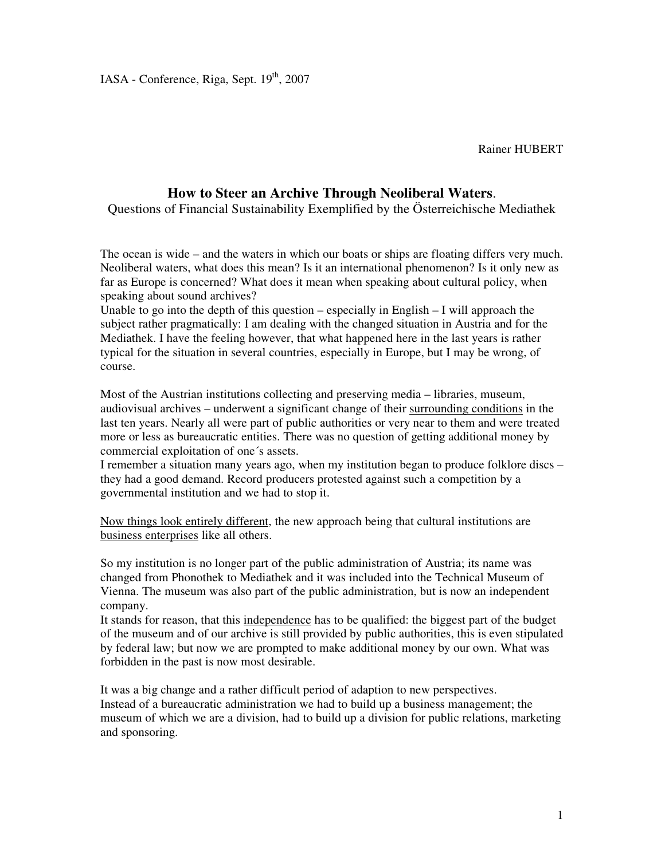Rainer HUBERT

## **How to Steer an Archive Through Neoliberal Waters**.

Questions of Financial Sustainability Exemplified by the Österreichische Mediathek

The ocean is wide – and the waters in which our boats or ships are floating differs very much. Neoliberal waters, what does this mean? Is it an international phenomenon? Is it only new as far as Europe is concerned? What does it mean when speaking about cultural policy, when speaking about sound archives?

Unable to go into the depth of this question – especially in English – I will approach the subject rather pragmatically: I am dealing with the changed situation in Austria and for the Mediathek. I have the feeling however, that what happened here in the last years is rather typical for the situation in several countries, especially in Europe, but I may be wrong, of course.

Most of the Austrian institutions collecting and preserving media – libraries, museum, audiovisual archives – underwent a significant change of their surrounding conditions in the last ten years. Nearly all were part of public authorities or very near to them and were treated more or less as bureaucratic entities. There was no question of getting additional money by commercial exploitation of one´s assets.

I remember a situation many years ago, when my institution began to produce folklore discs – they had a good demand. Record producers protested against such a competition by a governmental institution and we had to stop it.

Now things look entirely different, the new approach being that cultural institutions are business enterprises like all others.

So my institution is no longer part of the public administration of Austria; its name was changed from Phonothek to Mediathek and it was included into the Technical Museum of Vienna. The museum was also part of the public administration, but is now an independent company.

It stands for reason, that this independence has to be qualified: the biggest part of the budget of the museum and of our archive is still provided by public authorities, this is even stipulated by federal law; but now we are prompted to make additional money by our own. What was forbidden in the past is now most desirable.

It was a big change and a rather difficult period of adaption to new perspectives. Instead of a bureaucratic administration we had to build up a business management; the museum of which we are a division, had to build up a division for public relations, marketing and sponsoring.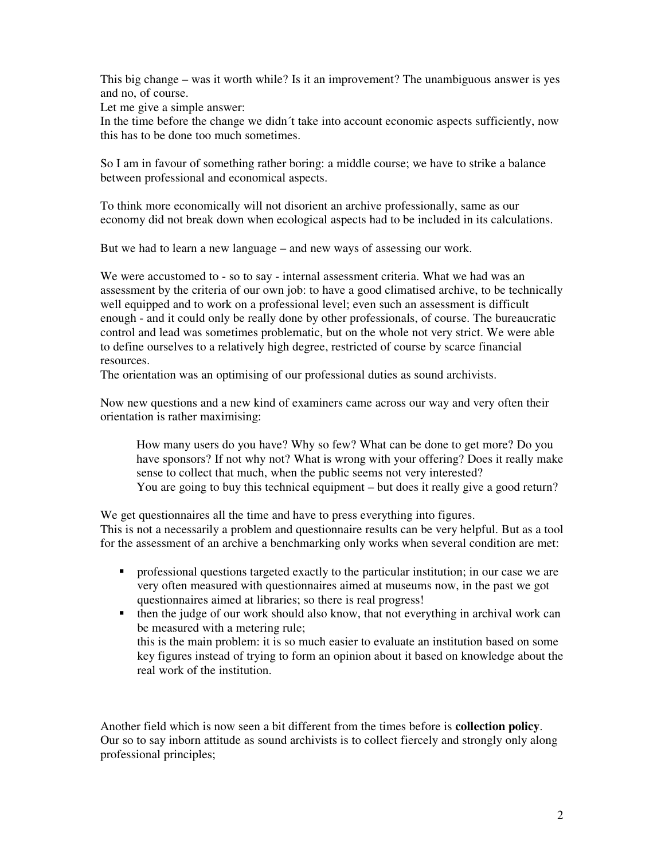This big change – was it worth while? Is it an improvement? The unambiguous answer is yes and no, of course.

Let me give a simple answer:

In the time before the change we didn´t take into account economic aspects sufficiently, now this has to be done too much sometimes.

So I am in favour of something rather boring: a middle course; we have to strike a balance between professional and economical aspects.

To think more economically will not disorient an archive professionally, same as our economy did not break down when ecological aspects had to be included in its calculations.

But we had to learn a new language – and new ways of assessing our work.

We were accustomed to - so to say - internal assessment criteria. What we had was an assessment by the criteria of our own job: to have a good climatised archive, to be technically well equipped and to work on a professional level; even such an assessment is difficult enough - and it could only be really done by other professionals, of course. The bureaucratic control and lead was sometimes problematic, but on the whole not very strict. We were able to define ourselves to a relatively high degree, restricted of course by scarce financial resources.

The orientation was an optimising of our professional duties as sound archivists.

Now new questions and a new kind of examiners came across our way and very often their orientation is rather maximising:

How many users do you have? Why so few? What can be done to get more? Do you have sponsors? If not why not? What is wrong with your offering? Does it really make sense to collect that much, when the public seems not very interested? You are going to buy this technical equipment – but does it really give a good return?

We get questionnaires all the time and have to press everything into figures. This is not a necessarily a problem and questionnaire results can be very helpful. But as a tool for the assessment of an archive a benchmarking only works when several condition are met:

- professional questions targeted exactly to the particular institution; in our case we are very often measured with questionnaires aimed at museums now, in the past we got questionnaires aimed at libraries; so there is real progress!
- $\bullet$  then the judge of our work should also know, that not everything in archival work can be measured with a metering rule; this is the main problem: it is so much easier to evaluate an institution based on some key figures instead of trying to form an opinion about it based on knowledge about the real work of the institution.

Another field which is now seen a bit different from the times before is **collection policy**. Our so to say inborn attitude as sound archivists is to collect fiercely and strongly only along professional principles;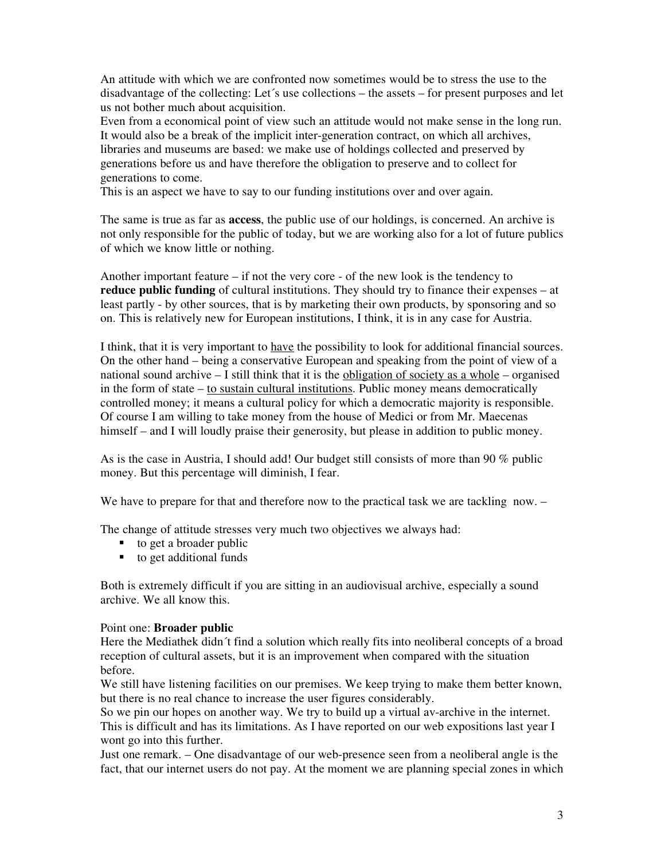An attitude with which we are confronted now sometimes would be to stress the use to the disadvantage of the collecting: Let´s use collections – the assets – for present purposes and let us not bother much about acquisition.

Even from a economical point of view such an attitude would not make sense in the long run. It would also be a break of the implicit inter-generation contract, on which all archives, libraries and museums are based: we make use of holdings collected and preserved by generations before us and have therefore the obligation to preserve and to collect for generations to come.

This is an aspect we have to say to our funding institutions over and over again.

The same is true as far as **access**, the public use of our holdings, is concerned. An archive is not only responsible for the public of today, but we are working also for a lot of future publics of which we know little or nothing.

Another important feature – if not the very core - of the new look is the tendency to **reduce public funding** of cultural institutions. They should try to finance their expenses – at least partly - by other sources, that is by marketing their own products, by sponsoring and so on. This is relatively new for European institutions, I think, it is in any case for Austria.

I think, that it is very important to have the possibility to look for additional financial sources. On the other hand – being a conservative European and speaking from the point of view of a national sound archive – I still think that it is the obligation of society as a whole – organised in the form of state – to sustain cultural institutions. Public money means democratically controlled money; it means a cultural policy for which a democratic majority is responsible. Of course I am willing to take money from the house of Medici or from Mr. Maecenas himself – and I will loudly praise their generosity, but please in addition to public money.

As is the case in Austria, I should add! Our budget still consists of more than 90 % public money. But this percentage will diminish, I fear.

We have to prepare for that and therefore now to the practical task we are tackling now. –

The change of attitude stresses very much two objectives we always had:

- $\bullet$  to get a broader public
- $\bullet$  to get additional funds

Both is extremely difficult if you are sitting in an audiovisual archive, especially a sound archive. We all know this.

## Point one: **Broader public**

Here the Mediathek didn´t find a solution which really fits into neoliberal concepts of a broad reception of cultural assets, but it is an improvement when compared with the situation before.

We still have listening facilities on our premises. We keep trying to make them better known, but there is no real chance to increase the user figures considerably.

So we pin our hopes on another way. We try to build up a virtual av-archive in the internet. This is difficult and has its limitations. As I have reported on our web expositions last year I wont go into this further.

Just one remark. – One disadvantage of our web-presence seen from a neoliberal angle is the fact, that our internet users do not pay. At the moment we are planning special zones in which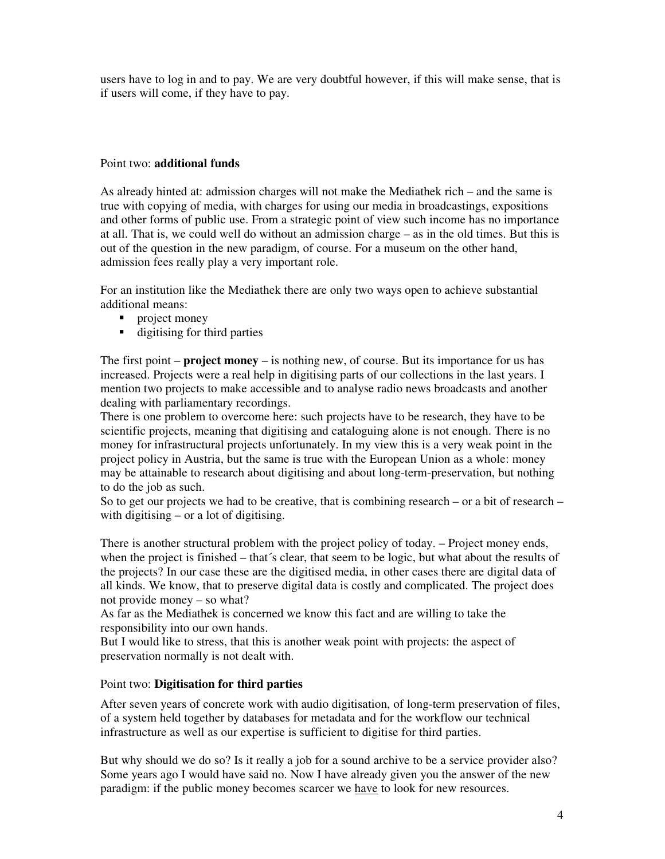users have to log in and to pay. We are very doubtful however, if this will make sense, that is if users will come, if they have to pay.

## Point two: **additional funds**

As already hinted at: admission charges will not make the Mediathek rich – and the same is true with copying of media, with charges for using our media in broadcastings, expositions and other forms of public use. From a strategic point of view such income has no importance at all. That is, we could well do without an admission charge – as in the old times. But this is out of the question in the new paradigm, of course. For a museum on the other hand, admission fees really play a very important role.

For an institution like the Mediathek there are only two ways open to achieve substantial additional means:

- **•** project money
- digitising for third parties

The first point – **project money** – is nothing new, of course. But its importance for us has increased. Projects were a real help in digitising parts of our collections in the last years. I mention two projects to make accessible and to analyse radio news broadcasts and another dealing with parliamentary recordings.

There is one problem to overcome here: such projects have to be research, they have to be scientific projects, meaning that digitising and cataloguing alone is not enough. There is no money for infrastructural projects unfortunately. In my view this is a very weak point in the project policy in Austria, but the same is true with the European Union as a whole: money may be attainable to research about digitising and about long-term-preservation, but nothing to do the job as such.

So to get our projects we had to be creative, that is combining research – or a bit of research – with digitising – or a lot of digitising.

There is another structural problem with the project policy of today. – Project money ends, when the project is finished – that´s clear, that seem to be logic, but what about the results of the projects? In our case these are the digitised media, in other cases there are digital data of all kinds. We know, that to preserve digital data is costly and complicated. The project does not provide money – so what?

As far as the Mediathek is concerned we know this fact and are willing to take the responsibility into our own hands.

But I would like to stress, that this is another weak point with projects: the aspect of preservation normally is not dealt with.

## Point two: **Digitisation for third parties**

After seven years of concrete work with audio digitisation, of long-term preservation of files, of a system held together by databases for metadata and for the workflow our technical infrastructure as well as our expertise is sufficient to digitise for third parties.

But why should we do so? Is it really a job for a sound archive to be a service provider also? Some years ago I would have said no. Now I have already given you the answer of the new paradigm: if the public money becomes scarcer we have to look for new resources.